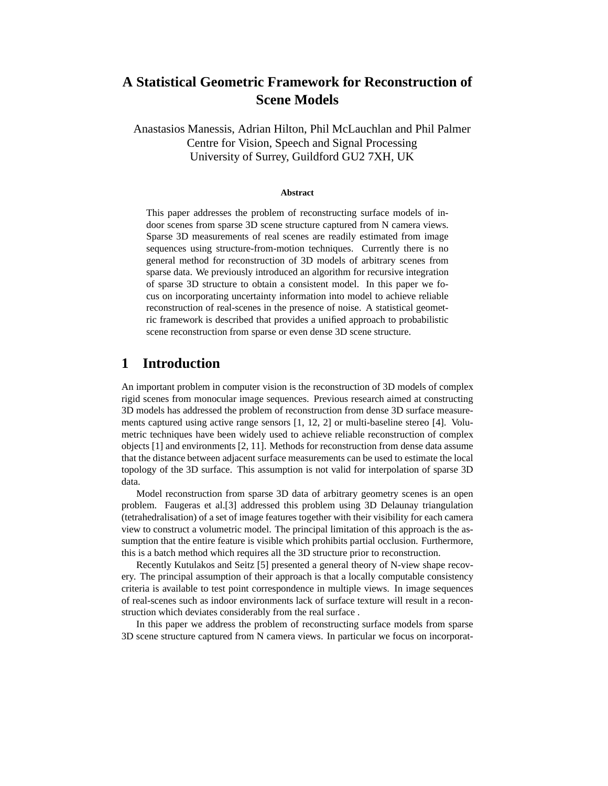# **A Statistical Geometric Framework for Reconstruction of Scene Models**

Anastasios Manessis, Adrian Hilton, Phil McLauchlan and Phil Palmer Centre for Vision, Speech and Signal Processing University of Surrey, Guildford GU2 7XH, UK

#### **Abstract**

This paper addresses the problem of reconstructing surface models of indoor scenes from sparse 3D scene structure captured from N camera views. Sparse 3D measurements of real scenes are readily estimated from image sequences using structure-from-motion techniques. Currently there is no general method for reconstruction of 3D models of arbitrary scenes from sparse data. We previously introduced an algorithm for recursive integration of sparse 3D structure to obtain a consistent model. In this paper we focus on incorporating uncertainty information into model to achieve reliable reconstruction of real-scenes in the presence of noise. A statistical geometric framework is described that provides a unified approach to probabilistic scene reconstruction from sparse or even dense 3D scene structure.

### **1 Introduction**

An important problem in computer vision is the reconstruction of 3D models of complex rigid scenes from monocular image sequences. Previous research aimed at constructing 3D models has addressed the problem of reconstruction from dense 3D surface measurements captured using active range sensors [1, 12, 2] or multi-baseline stereo [4]. Volumetric techniques have been widely used to achieve reliable reconstruction of complex objects [1] and environments [2, 11]. Methods for reconstruction from dense data assume that the distance between adjacent surface measurements can be used to estimate the local topology of the 3D surface. This assumption is not valid for interpolation of sparse 3D data.

Model reconstruction from sparse 3D data of arbitrary geometry scenes is an open problem. Faugeras et al.[3] addressed this problem using 3D Delaunay triangulation (tetrahedralisation) of a set of image features together with their visibility for each camera view to construct a volumetric model. The principal limitation of this approach is the assumption that the entire feature is visible which prohibits partial occlusion. Furthermore, this is a batch method which requires all the 3D structure prior to reconstruction.

Recently Kutulakos and Seitz [5] presented a general theory of N-view shape recovery. The principal assumption of their approach is that a locally computable consistency criteria is available to test point correspondence in multiple views. In image sequences of real-scenes such as indoor environments lack of surface texture will result in a reconstruction which deviates considerably from the real surface .

In this paper we address the problem of reconstructing surface models from sparse 3D scene structure captured from N camera views. In particular we focus on incorporat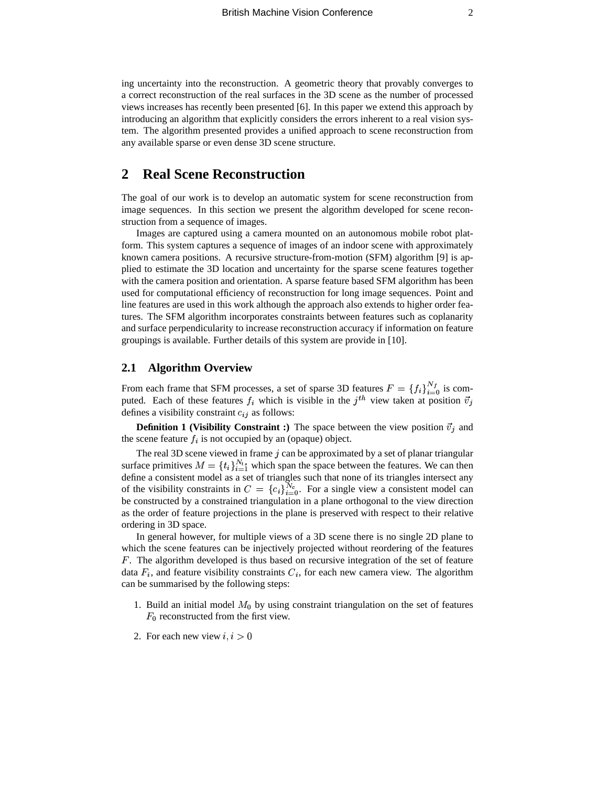ing uncertainty into the reconstruction. A geometric theory that provably converges to a correct reconstruction of the real surfaces in the 3D scene as the number of processed views increases has recently been presented [6]. In this paper we extend this approach by introducing an algorithm that explicitly considers the errors inherent to a real vision system. The algorithm presented provides a unified approach to scene reconstruction from any available sparse or even dense 3D scene structure.

## **2 Real Scene Reconstruction**

The goal of our work is to develop an automatic system for scene reconstruction from image sequences. In this section we present the algorithm developed for scene reconstruction from a sequence of images.

Images are captured using a camera mounted on an autonomous mobile robot platform. This system captures a sequence of images of an indoor scene with approximately known camera positions. A recursive structure-from-motion (SFM) algorithm [9] is applied to estimate the 3D location and uncertainty for the sparse scene features together with the camera position and orientation. A sparse feature based SFM algorithm has been used for computational efficiency of reconstruction for long image sequences. Point and line features are used in this work although the approach also extends to higher order features. The SFM algorithm incorporates constraints between features such as coplanarity and surface perpendicularity to increase reconstruction accuracy if information on feature groupings is available. Further details of this system are provide in [10].

### **2.1 Algorithm Overview**

From each frame that SFM processes, a set of sparse 3D features  $F = \{f_i\}_{i=0}^{N}$  is computed. Each of these features  $f_i$  which is visible in the  $j<sup>th</sup>$  view taken at position  $\vec{v}_i$ defines a visibility constraint  $c_{ij}$  as follows:

**Definition 1 (Visibility Constraint :) The space between the view position**  $\vec{v}_j$  **and** the scene feature  $f_i$  is not occupied by an (opaque) object.

The real 3D scene viewed in frame  $j$  can be approximated by a set of planar triangular surface primitives  $M = \{t_i\}_{i=1}^{N_{ts}}$  which span the space between the features. We can then define a consistent model as a set of triangles such that none of its triangles intersect any of the visibility constraints in  $C = \{c_i\}_{i=0}^{N_c}$ . For a single view a consistent model can be constructed by a constrained triangulation in a plane orthogonal to the view direction as the order of feature projections in the plane is preserved with respect to their relative ordering in 3D space.

In general however, for multiple views of a 3D scene there is no single 2D plane to which the scene features can be injectively projected without reordering of the features . The algorithm developed is thus based on recursive integration of the set of feature data  $F_i$ , and feature visibility constraints  $C_i$ , for each new camera view. The algorithm can be summarised by the following steps:

- 1. Build an initial model  $M_0$  by using constraint triangulation on the set of features  $F_0$  reconstructed from the first view.
- 2. For each new view  $i, i > 0$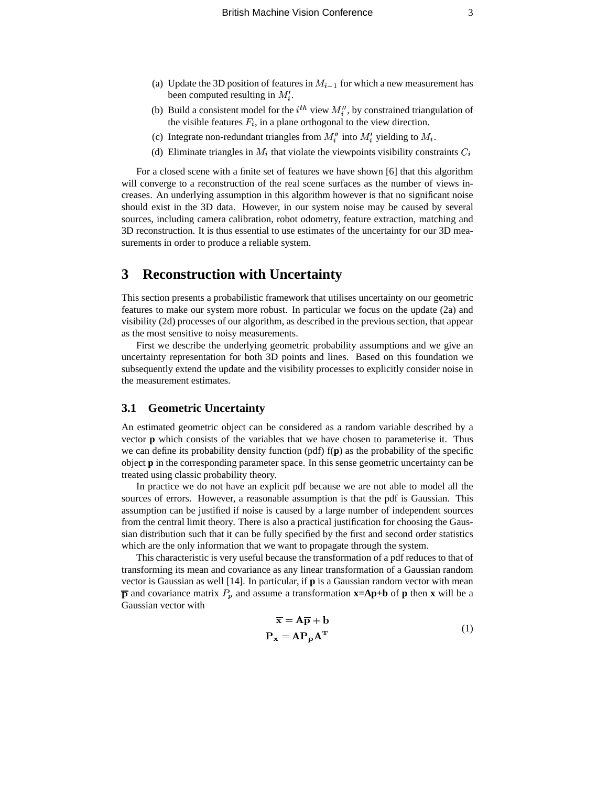- (a) Update the 3D position of features in  $M_{i-1}$  for which a new measurement has been computed resulting in  $M_i'$ .
- (b) Build a consistent model for the  $i^{th}$  view  $M''_i$ , by constrained triangulation of the visible features  $F_i$ , in a plane orthogonal to the view direction.
- (c) Integrate non-redundant triangles from  $M_i''$  into  $M_i'$  yielding to  $M_i$ .
- (d) Eliminate triangles in  $M_i$  that violate the viewpoints visibility constraints  $C_i$

For a closed scene with a finite set of features we have shown [6] that this algorithm will converge to a reconstruction of the real scene surfaces as the number of views increases. An underlying assumption in this algorithm however is that no significant noise should exist in the 3D data. However, in our system noise may be caused by several sources, including camera calibration, robot odometry, feature extraction, matching and 3D reconstruction. It is thus essential to use estimates of the uncertainty for our 3D measurements in order to produce a reliable system.

## **3 Reconstruction with Uncertainty**

This section presents a probabilistic framework that utilises uncertainty on our geometric features to make our system more robust. In particular we focus on the update (2a) and visibility (2d) processes of our algorithm, as described in the previous section, that appear as the most sensitive to noisy measurements.

First we describe the underlying geometric probability assumptions and we give an uncertainty representation for both 3D points and lines. Based on this foundation we subsequently extend the update and the visibility processes to explicitly consider noise in the measurement estimates.

### **3.1 Geometric Uncertainty**

An estimated geometric object can be considered as a random variable described by a vector **p** which consists of the variables that we have chosen to parameterise it. Thus we can define its probability density function (pdf) f(**p**) as the probability of the specific object **p** in the corresponding parameter space. In this sense geometric uncertainty can be treated using classic probability theory.

In practice we do not have an explicit pdf because we are not able to model all the sources of errors. However, a reasonable assumption is that the pdf is Gaussian. This assumption can be justified if noise is caused by a large number of independent sources from the central limit theory. There is also a practical justification for choosing the Gaussian distribution such that it can be fully specified by the first and second order statistics which are the only information that we want to propagate through the system.

This characteristic is very useful because the transformation of a pdf reduces to that of transforming its mean and covariance as any linear transformation of a Gaussian random vector is Gaussian as well [14]. In particular, if **p** is a Gaussian random vector with mean  $\overline{p}$  and covariance matrix  $P_p$  and assume a transformation  $\overline{x}$ =Ap+b of p then x will be a Gaussian vector with

$$
\overline{\mathbf{x}} = \mathbf{A}\overline{\mathbf{p}} + \mathbf{b}
$$
  

$$
\mathbf{P}_{\mathbf{x}} = \mathbf{A}\mathbf{P}_{\mathbf{p}}\mathbf{A}^{\mathbf{T}}
$$
 (1)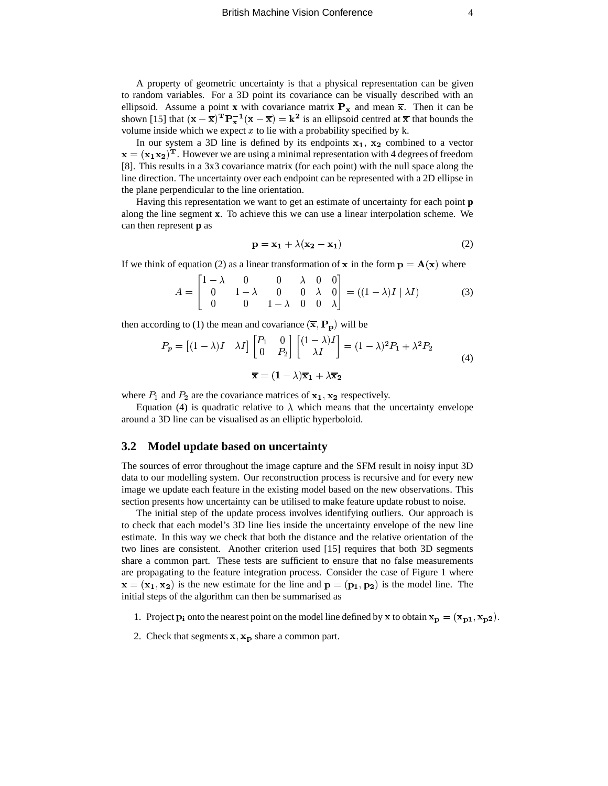A property of geometric uncertainty is that a physical representation can be given to random variables. For a 3D point its covariance can be visually described with an to random variables. For a 3D point its covariance can be visually described with an ellipsoid. Assume a point **x** with covariance matrix  $P_x$  and mean  $\overline{x}$ . Then it can be shown [15] that  $(x - \overline{x})^T P_x^{-1} (x - \overline{x}) = k^2$  is an ellipsoid centred at  $\overline{x}$  that bounds the volume inside which we expect  $x$  to lie with a probability specified by k.

In our system a 3D line is defined by its endpoints  $x_1$ ,  $x_2$  comb Solution inside which we expect x to the with a probability specified by k.<br>In our system a 3D line is defined by its endpoints  $x_1$ ,  $x_2$  combined to a vector In our system a 5D line is defined by its endpoints  $x_1$ ,  $x_2$  combined to a vector  $=(x_1x_2)^T$ . However we are using a minimal representation with 4 degrees of freedom [8]. This results in a 3x3 covariance matrix (for each point) with the null space along the line direction. The uncertainty over each endpoint can be represented with a 2D ellipse in the plane perpendicular to the line orientation.

Having this representation we want to get an estimate of uncertainty for each point **p** along the line segment **x**. To achieve this we can use a linear interpolation scheme. We can then represent **p** as

$$
\mathbf{p} = \mathbf{x_1} + \lambda(\mathbf{x_2} - \mathbf{x_1}) \tag{2}
$$

If we think of equation (2) as a linear transformation of **x** in the form  $\mathbf{p} = \mathbf{A}(\mathbf{x})$  where  $\mathcal{L}(\mathcal{L})$  and  $\mathcal{L}(\mathcal{L})$ 

$$
A = \begin{bmatrix} 1 - \lambda & 0 & 0 & \lambda & 0 & 0 \\ 0 & 1 - \lambda & 0 & 0 & \lambda & 0 \\ 0 & 0 & 1 - \lambda & 0 & 0 & \lambda \end{bmatrix} = ((1 - \lambda)I | \lambda I) \tag{3}
$$

then according to (1) the mean and covariance  $(\overline{\mathbf{x}}, \mathbf{P}_{\mathbf{p}})$  will be

$$
P_p = \begin{bmatrix} (1 - \lambda)I & \lambda I \end{bmatrix} \begin{bmatrix} P_1 & 0 \\ 0 & P_2 \end{bmatrix} \begin{bmatrix} (1 - \lambda)I \\ \lambda I \end{bmatrix} = (1 - \lambda)^2 P_1 + \lambda^2 P_2
$$
  

$$
\overline{\mathbf{x}} = (1 - \lambda)\overline{\mathbf{x}}_1 + \lambda\overline{\mathbf{x}}_2
$$
 (4)

where  $P_1$  and  $P_2$  are the covariance matrices of  $x_1, x_2$  respectively.

Equation (4) is quadratic relative to  $\lambda$  which means that the uncertainty envelope around a 3D line can be visualised as an elliptic hyperboloid.

#### **3.2 Model update based on uncertainty**

The sources of error throughout the image capture and the SFM result in noisy input 3D data to our modelling system. Our reconstruction process is recursive and for every new image we update each feature in the existing model based on the new observations. This section presents how uncertainty can be utilised to make feature update robust to noise.

The initial step of the update process involves identifying outliers. Our approach is to check that each model's 3D line lies inside the uncertainty envelope of the new line estimate. In this way we check that both the distance and the relative orientation of the two lines are consistent. Another criterion used [15] requires that both 3D segments share a common part. These tests are sufficient to ensure that no false measurements are propagating to the feature integration process. Consider the case of Figure 1 where  $\mathbf{z} = (\mathbf{x_1}, \mathbf{x_2})$  is the new estimate for the line and  $\mathbf{p} = (\mathbf{p_1}, \mathbf{p_2})$  is the model line. The initial steps of the algorithm can then be summarised as

1. Project  $\mathbf{p_i}$  onto the nearest point on the model line defined by **x** to obtain  $\mathbf{x_p} = (\mathbf{x_{p1}}, \mathbf{x_{p2}})$  $\mathbf{p} = (\mathbf{x_{p1}}, \mathbf{x_{p2}}).$ 

2. Check that segments  $\mathbf{x}, \mathbf{x_p}$  share a common part.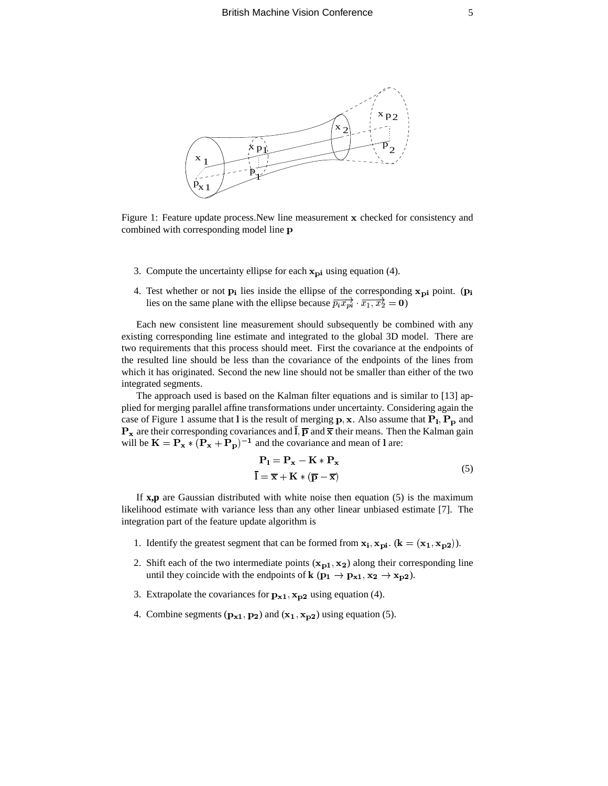

Figure 1: Feature update process. New line measurement  $x$  checked for consistency and combined with corresponding model line p

- 3. Compute the uncertainty ellipse for each  $x_{pi}$  using equation (4).
- 4. Test whether or not  $\mathbf{p_i}$  lies inside the ellipse of the corresponding  $\mathbf{x_{pi}}$  point. (**p**  $_{\rm pi}$  point. ( $_{\rm pi}$ Test whether or not  $\mathbf{p_i}$  lies inside the ellipse of the corresponding  $\mathbf{x_{pi}}$  point. (<br>lies on the same plane with the ellipse because  $\overline{p_i x_{pi}} \cdot \overline{x_1, x_2} = 0$ )

Each new consistent line measurement should subsequently be combined with any existing corresponding line estimate and integrated to the global 3D model. There are two requirements that this process should meet. First the covariance at the endpoints of the resulted line should be less than the covariance of the endpoints of the lines from which it has originated. Second the new line should not be smaller than either of the two integrated segments.

The approach used is based on the Kalman filter equations and is similar to [13] applied for merging parallel affine transformations under uncertainty. Considering again the phed for merging parameral internations in the internation. Considering again the case of Figure 1 assume that  $\text{I}$  is the result of merging  $\text{p}, \text{x}$ . Also assume that  $\text{P}_1, \text{P}_\text{p}$  and Case of Figure 1 assume that 1 is the result of merging **p**, **x**. Also assume that **1 1**, **1 p** and **P**<sub>**x**</sub> are their corresponding covariances and **I**, **p** and **x** their means. Then the Kalman gain  $\mathbf{F} \times \mathbf{x}$  are then corresponding covariances and  $\mathbf{F}$ ,  $\mathbf{p}$  and  $\mathbf{x}$  then means. Then will be  $\mathbf{K} = \mathbf{P}_{\mathbf{x}} * (\mathbf{P}_{\mathbf{x}} + \mathbf{P}_{\mathbf{p}})^{-1}$  and the covariance and mean of 1 are:

$$
\mathbf{P}_1 = \mathbf{P}_x - \mathbf{K} * \mathbf{P}_x
$$
  
\n
$$
\overline{I} = \overline{x} + \mathbf{K} * (\overline{p} - \overline{x})
$$
\n(5)

If **x,p** are Gaussian distributed with white noise then equation (5) is the maximum likelihood estimate with variance less than any other linear unbiased estimate [7]. The integration part of the feature update algorithm is

- 1. Identify the greatest segment that can be formed from  $x_i$ ,  $x_{pi}$ . ( $\mathbf{k} = (\mathbf{x_1}, \mathbf{x_{p2}})$ ).
- 2. Shift each of the two intermediate points  $(x_{p1}, x_2)$  along their corresponding line until they coincide with the endpoints of  $\mathbf{k}$  ( $\mathbf{p_1} \rightarrow \mathbf{p_{x1}}, \mathbf{x_2} \rightarrow \mathbf{x_{p2}}$ ).
- 3. Extrapolate the covariances for  $\mathbf{p}_{\mathbf{x1}}, \mathbf{x}_{\mathbf{p2}}$  using equ  $_{\rm p2}$  using equation (4).
- 4. Combine segments  $(\mathbf{p_{x1}}, \mathbf{p_2})$  and  $(\mathbf{x_1}, \mathbf{x_{p2}})$  using  $(x_1, x_{p2})$  using equation (5).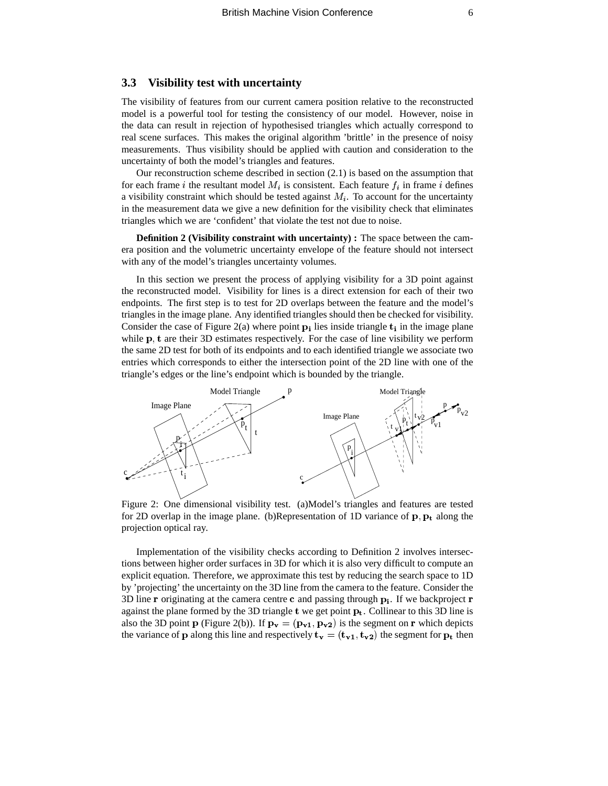### **3.3 Visibility test with uncertainty**

The visibility of features from our current camera position relative to the reconstructed model is a powerful tool for testing the consistency of our model. However, noise in the data can result in rejection of hypothesised triangles which actually correspond to real scene surfaces. This makes the original algorithm 'brittle' in the presence of noisy measurements. Thus visibility should be applied with caution and consideration to the uncertainty of both the model's triangles and features.

Our reconstruction scheme described in section (2.1) is based on the assumption that for each frame *i* the resultant model  $M_i$  is consistent. Each feature  $f_i$  in frame *i* defines a visibility constraint which should be tested against  $M_i$ . To account for the uncertainty in the measurement data we give a new definition for the visibility check that eliminates triangles which we are 'confident' that violate the test not due to noise.

**Definition 2 (Visibility constraint with uncertainty) :** The space between the camera position and the volumetric uncertainty envelope of the feature should not intersect with any of the model's triangles uncertainty volumes.

In this section we present the process of applying visibility for a 3D point against the reconstructed model. Visibility for lines is a direct extension for each of their two endpoints. The first step is to test for 2D overlaps between the feature and the model's triangles in the image plane. Any identified triangles should then be checked for visibility. Consider the case of Figure 2(a) where point  $p_i$  lies inside triangle  $t_i$  in the image plane while  $p$ ,  $t$  are their 3D estimates respectively. For the case of line visibility we perform the same 2D test for both of its endpoints and to each identified triangle we associate two entries which corresponds to either the intersection point of the 2D line with one of the triangle's edges or the line's endpoint which is bounded by the triangle.



Figure 2: One dimensional visibility test. (a)Model's triangles and features are tested for 2D overlap in the image plane. (b)Representation of 1D variance of  $\mathbf{p}, \mathbf{p}_t$  along the projection optical ray.

Implementation of the visibility checks according to Definition 2 involves intersections between higher order surfaces in 3D for which it is also very difficult to compute an explicit equation. Therefore, we approximate this test by reducing the search space to 1D by 'projecting' the uncertainty on the 3D line from the camera to the feature. Consider the 3D line **r** originating at the camera centre **c** and passing through  $\mathbf{p_i}$ . If we backproject **r** against the plane formed by the 3D triangle  $t$  we get point  $p_t$ . Collinear to this 3D line is also the 3D point **p** (Figure 2(b)). If  $\mathbf{p_v} = (\mathbf{p_{v1}}, \mathbf{p_{v2}})$  is the segment on **r** which depicts the variance of p along this line and respectively  $t_{v} = (t_{v1}, t_{v2})$  the segment for  $p_t$  then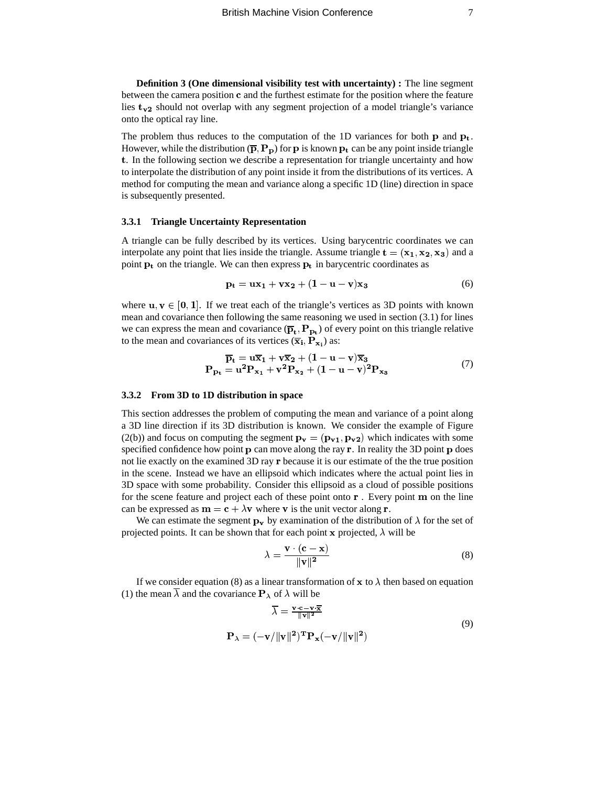**Definition 3 (One dimensional visibility test with uncertainty) :** The line segment between the camera position  $c$  and the furthest estimate for the position where the feature lies  $t_{v2}$  should not overlap with any segment projection of a model triangle's variance onto the optical ray line.

The problem thus reduces to the computation of the 1D variances for both  $p$  and  $p_t$ . However, while the distribution  $(\overline{p}, P_p)$  for p is known  $p_t$  can be any point inside triangle t. In the following section we describe a representation for triangle uncertainty and how to interpolate the distribution of any point inside it from the distributions of its vertices. A method for computing the mean and variance along a specific 1D (line) direction in space is subsequently presented.

#### **3.3.1 Triangle Uncertainty Representation**

A triangle can be fully described by its vertices. Using barycentric coordinates we can A triangle can be runy described by its vertices. Using barycentric coordinates we can<br>interpolate any point that lies inside the triangle. Assume triangle  $\mathbf{t} = (\mathbf{x_1}, \mathbf{x_2}, \mathbf{x_3})$  and a point  $p_t$  on the triangle. We can then express  $p_t$  in barycentric coordinates as

$$
\mathbf{p_t} = \mathbf{u}\mathbf{x_1} + \mathbf{v}\mathbf{x_2} + (1 - \mathbf{u} - \mathbf{v})\mathbf{x_3} \tag{6}
$$

where  $u, v \in [0, 1]$ . If we treat each of the triangle's vertices as 3D points with known mean and covariance then following the same reasoning we used in section (3.1) for lines we can express the mean and covariance  $(\overline{p}_t, P_{p_t})$  of every point on this triangle relative we can express the mean and covariance  $(\mathbf{p_t}, \mathbf{r_{p_t}})$  or ever<br>to the mean and covariances of its vertices  $(\overline{\mathbf{x_i}}, \mathbf{P_{x_i}})$  as:

$$
\overline{P}_t = u\overline{x}_1 + v\overline{x}_2 + (1 - u - v)\overline{x}_3
$$
  
\n
$$
P_{p_t} = u^2 P_{x_1} + v^2 P_{x_2} + (1 - u - v)^2 P_{x_3}
$$
\n(7)

#### **3.3.2 From 3D to 1D distribution in space**

This section addresses the problem of computing the mean and variance of a point along a 3D line direction if its 3D distribution is known. We consider the example of Figure <sup>L</sup> (2(b)) and focus on computing the segment  $\mathbf{p}_v = (\mathbf{p}_{v1}, \mathbf{p}_{v2})$  which indicates with some specified confidence how point  $p$  can move along the ray  $r$ . In reality the 3D point  $p$  does not lie exactly on the examined 3D ray **r** because it is our estimate of the the true position in the scene. Instead we have an ellipsoid which indicates where the actual point lies in 3D space with some probability. Consider this ellipsoid as a cloud of possible positions for the scene feature and project each of these point onto  ${\bf r}$ . Every point  ${\bf m}$  on the line can be expressed as  $m = c + \lambda v$  where v is the unit vector along r.

We can estimate the segment  $\mathbf{p}_v$  by examination of the distribution of  $\lambda$  for the set of we can estimate the segment  $\mathbf{p}_v$  by examination of the distribution of  $\lambda$  is<br>projected points. It can be shown that for each point x projected,  $\lambda$  will be

$$
\lambda = \frac{\mathbf{v} \cdot (\mathbf{c} - \mathbf{x})}{\|\mathbf{v}\|^2}
$$
 (8)

If we consider equation (8) as a linear transformation of  $\bf{x}$  to  $\lambda$  then based on equation (1) the mean  $\lambda$  and the covariance  $\mathbf{P}_{\lambda}$  of  $\lambda$  will be

$$
\overline{\lambda} = \frac{\mathbf{v} \cdot \mathbf{c} - \mathbf{v} \cdot \overline{\mathbf{x}}}{\|\mathbf{v}\|^2}
$$
\n
$$
\mathbf{P}_{\lambda} = (-\mathbf{v}/\|\mathbf{v}\|^2)^{\mathrm{T}} \mathbf{P}_{\mathbf{x}}(-\mathbf{v}/\|\mathbf{v}\|^2)
$$
\n(9)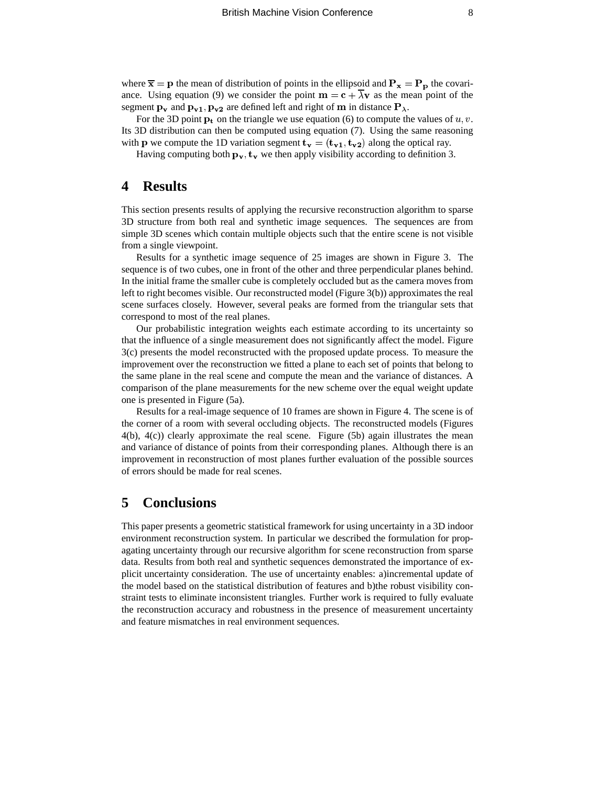where  $\bar{x} = p$  the mean of distribution of points in the ellipsoid and  $P_x = P_p$  the covariance. Using equation (9) we consider the point  $\mathbf{m} = \mathbf{c} + \lambda \mathbf{v}$  as the mean point of the segment  $\mathbf{p}_v$  and  $\mathbf{p}_{v1}, \mathbf{p}_{v2}$  are defined left and right of m in distance  $\mathbf{P}_{\lambda}$ .

For the 3D point  $\mathbf{p_t}$  on the triangle we use equation (6) to compute the values of  $u, v$ . Its 3D distribution can then be computed using equation (7). Using the same reasoning <sup>L</sup> with **p** we compute the 1D variation segment  $\mathbf{t}_{\mathbf{v}} = (\mathbf{t}_{\mathbf{v_1}}, \mathbf{t}_{\mathbf{v_2}})$  along the optical ray.

Having computing both  $\mathbf{p}_v$ ,  $\mathbf{t}_v$  we then apply visibility according to definition 3.

### **4 Results**

This section presents results of applying the recursive reconstruction algorithm to sparse 3D structure from both real and synthetic image sequences. The sequences are from simple 3D scenes which contain multiple objects such that the entire scene is not visible from a single viewpoint.

Results for a synthetic image sequence of 25 images are shown in Figure 3. The sequence is of two cubes, one in front of the other and three perpendicular planes behind. In the initial frame the smaller cube is completely occluded but as the camera moves from left to right becomes visible. Our reconstructed model (Figure 3(b)) approximates the real scene surfaces closely. However, several peaks are formed from the triangular sets that correspond to most of the real planes.

Our probabilistic integration weights each estimate according to its uncertainty so that the influence of a single measurement does not significantly affect the model. Figure 3(c) presents the model reconstructed with the proposed update process. To measure the improvement over the reconstruction we fitted a plane to each set of points that belong to the same plane in the real scene and compute the mean and the variance of distances. A comparison of the plane measurements for the new scheme over the equal weight update one is presented in Figure (5a).

Results for a real-image sequence of 10 frames are shown in Figure 4. The scene is of the corner of a room with several occluding objects. The reconstructed models (Figures  $4(b)$ ,  $4(c)$ ) clearly approximate the real scene. Figure (5b) again illustrates the mean and variance of distance of points from their corresponding planes. Although there is an improvement in reconstruction of most planes further evaluation of the possible sources of errors should be made for real scenes.

### **5 Conclusions**

This paper presents a geometric statistical framework for using uncertainty in a 3D indoor environment reconstruction system. In particular we described the formulation for propagating uncertainty through our recursive algorithm for scene reconstruction from sparse data. Results from both real and synthetic sequences demonstrated the importance of explicit uncertainty consideration. The use of uncertainty enables: a)incremental update of the model based on the statistical distribution of features and b)the robust visibility constraint tests to eliminate inconsistent triangles. Further work is required to fully evaluate the reconstruction accuracy and robustness in the presence of measurement uncertainty and feature mismatches in real environment sequences.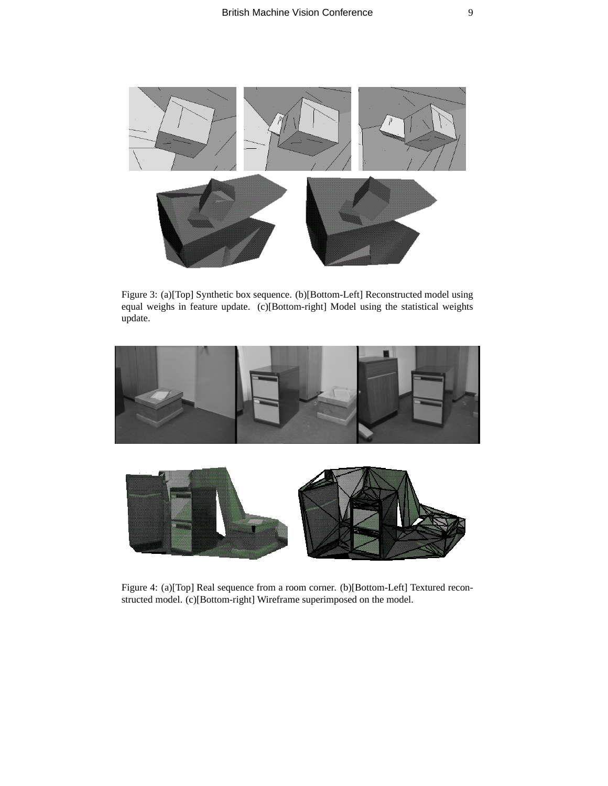

Figure 3: (a)[Top] Synthetic box sequence. (b)[Bottom-Left] Reconstructed model using equal weighs in feature update. (c)[Bottom-right] Model using the statistical weights update.





Figure 4: (a)[Top] Real sequence from a room corner. (b)[Bottom-Left] Textured reconstructed model. (c)[Bottom-right] Wireframe superimposed on the model.